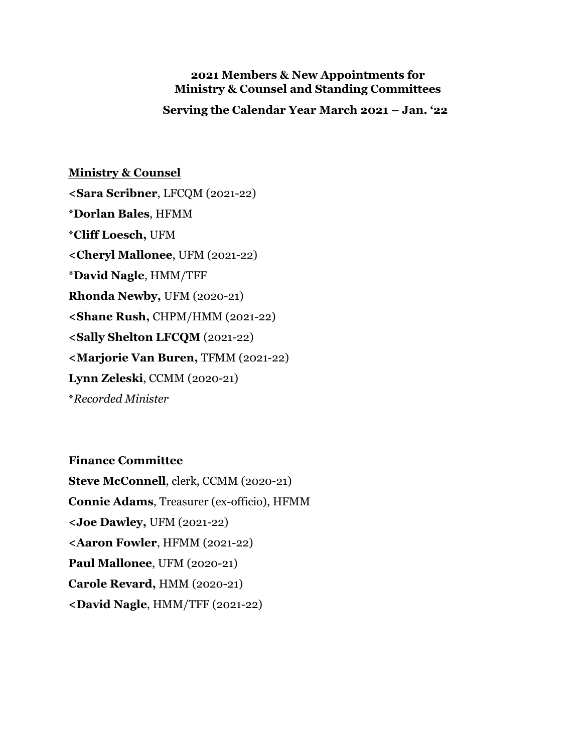#### **2021 Members & New Appointments for Ministry & Counsel and Standing Committees**

 **Serving the Calendar Year March 2021 – Jan. '22**

# **Ministry & Counsel <Sara Scribner**, LFCQM (2021-22) \***Dorlan Bales**, HFMM \***Cliff Loesch,** UFM **<Cheryl Mallonee**, UFM (2021-22) \***David Nagle**, HMM/TFF **Rhonda Newby,** UFM (2020-21) **<Shane Rush,** CHPM/HMM (2021-22) **<Sally Shelton LFCQM** (2021-22) **<Marjorie Van Buren,** TFMM (2021-22) **Lynn Zeleski**, CCMM (2020-21) \**Recorded Minister*

**Finance Committee Steve McConnell**, clerk, CCMM (2020-21) **Connie Adams**, Treasurer (ex-officio), HFMM **<Joe Dawley,** UFM (2021-22) **<Aaron Fowler**, HFMM (2021-22) **Paul Mallonee**, UFM (2020-21) **Carole Revard,** HMM (2020-21) **<David Nagle**, HMM/TFF (2021-22)